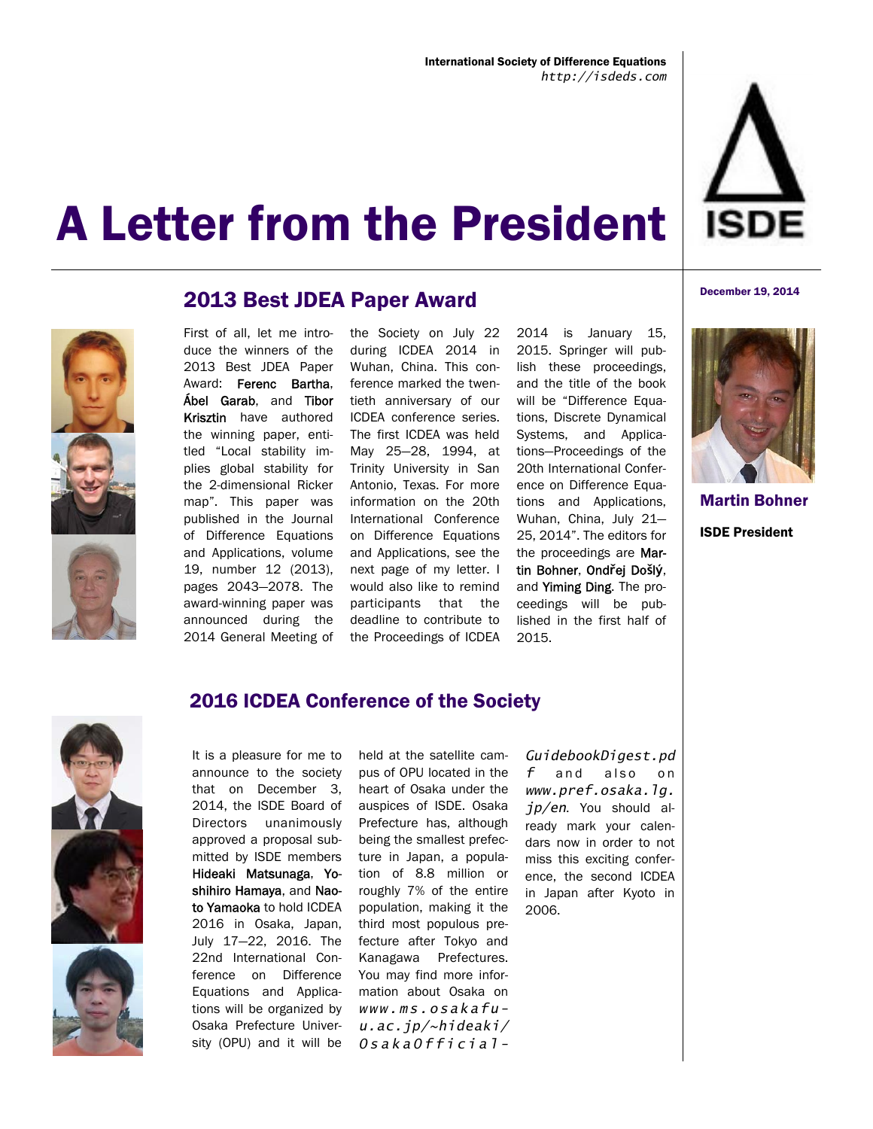





## 2013 Best JDEA Paper Award

First of all, let me introduce the winners of the 2013 Best JDEA Paper Award: Ferenc Bartha, Ábel Garab, and Tibor Krisztin have authored the winning paper, entitled "Local stability implies global stability for the 2-dimensional Ricker map". This paper was published in the Journal of Difference Equations and Applications, volume 19, number 12 (2013), pages 2043—2078. The award-winning paper was announced during the 2014 General Meeting of

the Society on July 22 during ICDEA 2014 in Wuhan, China. This conference marked the twentieth anniversary of our ICDEA conference series. The first ICDEA was held May 25—28, 1994, at Trinity University in San Antonio, Texas. For more information on the 20th International Conference on Difference Equations and Applications, see the next page of my letter. I would also like to remind participants that the deadline to contribute to the Proceedings of ICDEA

2014 is January 15, 2015. Springer will publish these proceedings, and the title of the book will be "Difference Equations, Discrete Dynamical Systems, and Applications—Proceedings of the 20th International Conference on Difference Equations and Applications, Wuhan, China, July 21— 25, 2014". The editors for the proceedings are Martin Bohner, Ond**ř**ej Do**š**l**ý**, and Yiming Ding. The proceedings will be published in the first half of 2015.



December 19, 2014

Martin Bohner ISDE President





#### 2016 ICDEA Conference of the Society

It is a pleasure for me to announce to the society that on December 3, 2014, the ISDE Board of Directors unanimously approved a proposal submitted by ISDE members Hideaki Matsunaga, Yoshihiro Hamaya, and Naoto Yamaoka to hold ICDEA 2016 in Osaka, Japan, July 17—22, 2016. The 22nd International Conference on Difference Equations and Applications will be organized by Osaka Prefecture University (OPU) and it will be

held at the satellite campus of OPU located in the heart of Osaka under the auspices of ISDE. Osaka Prefecture has, although being the smallest prefecture in Japan, a population of 8.8 million or roughly 7% of the entire population, making it the third most populous prefecture after Tokyo and Kanagawa Prefectures. You may find more information about Osaka on *www.ms.osakafuu.ac.jp/~hideaki/ OsakaOfficial-*

*GuidebookDigest.pd f* and also on *www.pref.osaka.lg. jp/en*. You should already mark your calendars now in order to not miss this exciting conference, the second ICDEA in Japan after Kyoto in 2006.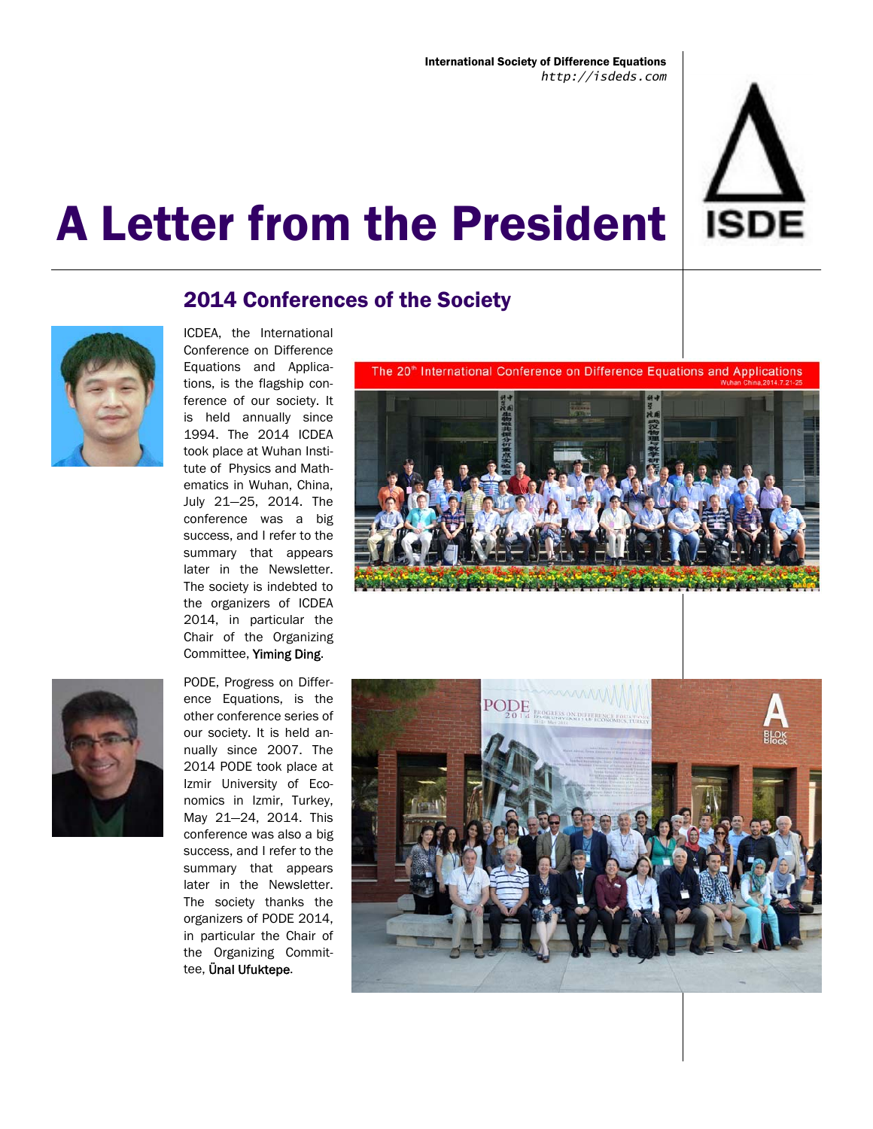

## 2014 Conferences of the Society



ICDEA, the International Conference on Difference Equations and Applications, is the flagship conference of our society. It is held annually since 1994. The 2014 ICDEA took place at Wuhan Institute of Physics and Mathematics in Wuhan, China, July 21—25, 2014. The conference was a big success, and I refer to the summary that appears later in the Newsletter. The society is indebted to the organizers of ICDEA 2014, in particular the Chair of the Organizing Committee, Yiming Ding.



PODE, Progress on Difference Equations, is the other conference series of our society. It is held annually since 2007. The 2014 PODE took place at Izmir University of Economics in Izmir, Turkey, May 21—24, 2014. This conference was also a big success, and I refer to the summary that appears later in the Newsletter. The society thanks the organizers of PODE 2014, in particular the Chair of the Organizing Committee, Ünal Ufuktepe.

The 20<sup>th</sup> International Conference on Difference Equations and Applications



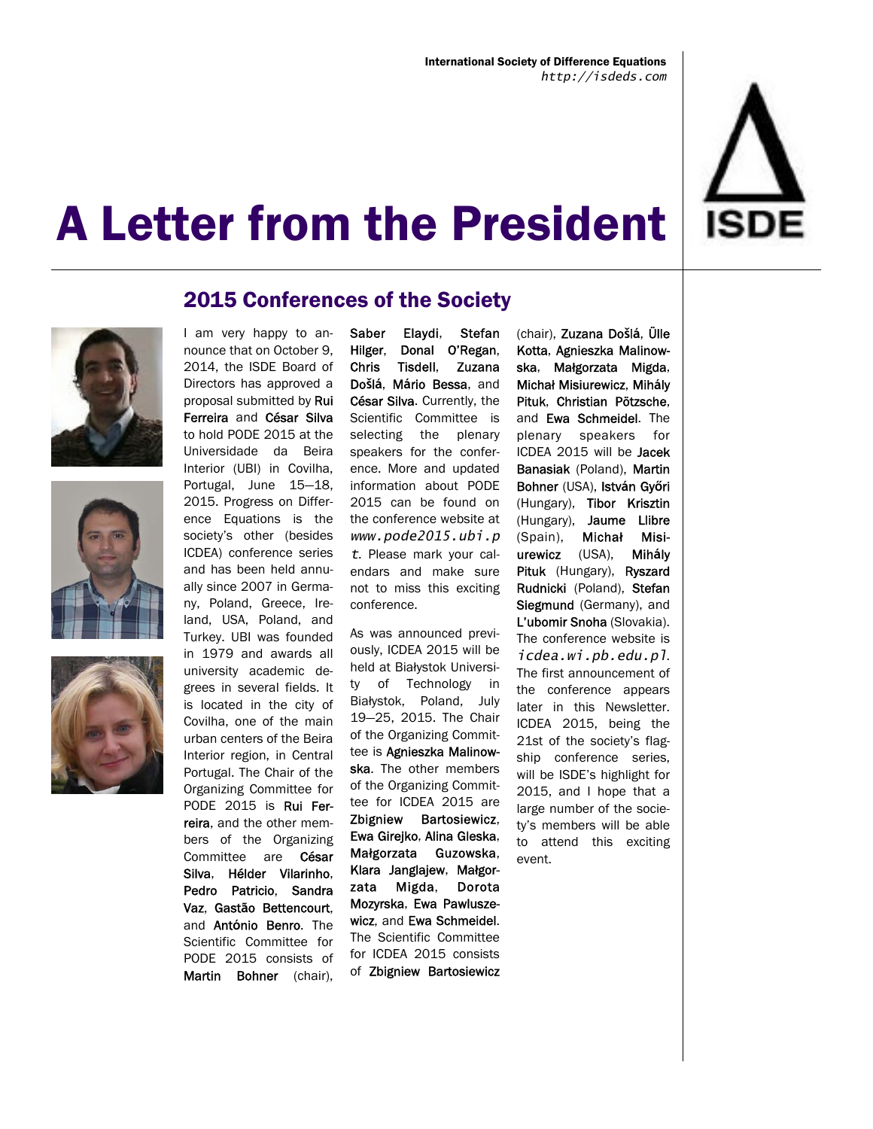







### 2015 Conferences of the Society

I am very happy to announce that on October 9, 2014, the ISDE Board of Directors has approved a proposal submitted by Rui Ferreira and César Silva to hold PODE 2015 at the Universidade da Beira Interior (UBI) in Covilha, Portugal, June 15—18, 2015. Progress on Difference Equations is the society's other (besides ICDEA) conference series and has been held annually since 2007 in Germany, Poland, Greece, Ireland, USA, Poland, and Turkey. UBI was founded in 1979 and awards all university academic degrees in several fields. It is located in the city of Covilha, one of the main urban centers of the Beira Interior region, in Central Portugal. The Chair of the Organizing Committee for PODE 2015 is Rui Ferreira, and the other members of the Organizing Committee are César Silva, Hélder Vilarinho, Pedro Patricio, Sandra Vaz, Gast**ã**o Bettencourt, and Ant**ó**nio Benro. The Scientific Committee for PODE 2015 consists of Martin Bohner (chair).

Saber Elaydi, Stefan Hilger, Donal O'Regan, Chris Tisdell, Zuzana Do**š**l**á**, M**á**rio Bessa, and César Silva. Currently, the Scientific Committee is selecting the plenary speakers for the conference. More and updated information about PODE 2015 can be found on the conference website at *www.pode2015.ubi.p t*. Please mark your calendars and make sure not to miss this exciting conference.

As was announced previously, ICDEA 2015 will be held at Białystok University of Technology in Białystok, Poland, July 19—25, 2015. The Chair of the Organizing Committee is Agnieszka Malinowska. The other members of the Organizing Committee for ICDEA 2015 are Zbigniew Bartosiewicz, Ewa Girejko, Alina Gleska, Małgorzata Guzowska, Klara Janglajew, Małgorzata Migda, Dorota Mozyrska, Ewa Pawluszewicz, and Ewa Schmeidel. The Scientific Committee for ICDEA 2015 consists of Zbigniew Bartosiewicz

(chair), Zuzana Do**š**l**á**, Ülle Kotta, Agnieszka Malinowska, Małgorzata Migda, Michał Misiurewicz, Mih**á**ly Pituk, Christian Pötzsche, and Ewa Schmeidel. The plenary speakers for ICDEA 2015 will be Jacek Banasiak (Poland), Martin Bohner (USA), Istv**á**n Gy**ő**ri (Hungary), Tibor Krisztin (Hungary), Jaume Llibre (Spain), Michał Misiurewicz (USA), Mih**á**ly Pituk (Hungary), Ryszard Rudnicki (Poland), Stefan Siegmund (Germany), and L'ubomir Snoha (Slovakia). The conference website is *icdea.wi.pb.edu.pl*. The first announcement of the conference appears later in this Newsletter. ICDEA 2015, being the 21st of the society's flagship conference series, will be ISDE's highlight for 2015, and I hope that a large number of the society's members will be able to attend this exciting event.